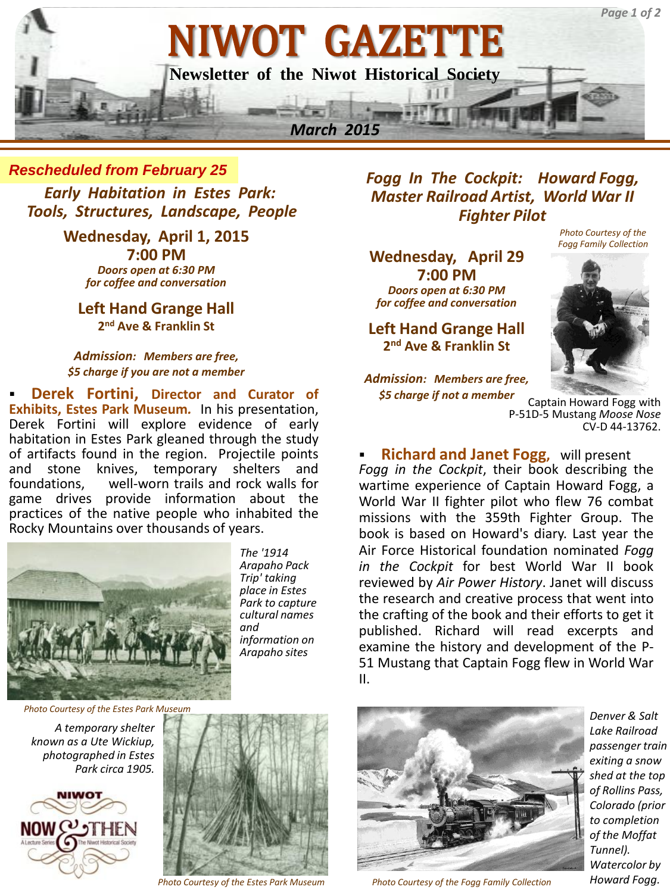

*Rescheduled from February 25*

*Early Habitation in Estes Park: Tools, Structures, Landscape, People*

> **Wednesday, April 1, 2015 7:00 PM** *Doors open at 6:30 PM for coffee and conversation*

**Left Hand Grange Hall 2 nd Ave & Franklin St**

*Admission: Members are free, \$5 charge if you are not a member*

 **Derek Fortini, Director and Curator of Exhibits, Estes Park Museum***.* In his presentation, Derek Fortini will explore evidence of early habitation in Estes Park gleaned through the study of artifacts found in the region. Projectile points and stone knives, temporary shelters and<br>foundations. well-worn-trails-and-rock-walls-for well-worn trails and rock walls for game drives provide information about the practices of the native people who inhabited the Rocky Mountains over thousands of years.



*The '1914 Arapaho Pack Trip' taking place in Estes Park to capture cultural names and information on Arapaho sites*

*Photo Courtesy of the Estes Park Museum*

*A temporary shelter known as a Ute Wickiup, photographed in Estes Park circa 1905.*





*Photo Courtesy of the Estes Park Museum*

*Fogg In The Cockpit: Howard Fogg, Master Railroad Artist, World War II Fighter Pilot*

**Wednesday, April 29 7:00 PM** *Doors open at 6:30 PM for coffee and conversation*

**Left Hand Grange Hall 2 nd Ave & Franklin St**

*Admission: Members are free, \$5 charge if not a member*



*Photo Courtesy of the* 

Captain Howard Fogg with P-51D-5 Mustang *Moose Nose*  CV-D 44-13762.

 **Richard and Janet Fogg,** will present *Fogg in the Cockpit*, their book describing the wartime experience of Captain Howard Fogg, a World War II fighter pilot who flew 76 combat missions with the 359th Fighter Group. The book is based on Howard's diary. Last year the Air Force Historical foundation nominated *Fogg in the Cockpit* for best World War II book reviewed by *Air Power History*. Janet will discuss the research and creative process that went into the crafting of the book and their efforts to get it published. Richard will read excerpts and examine the history and development of the P-51 Mustang that Captain Fogg flew in World War II.



*Photo Courtesy of the Fogg Family Collection Howard Fogg.*

*Denver & Salt Lake Railroad passenger train exiting a snow shed at the top of Rollins Pass, Colorado (prior to completion of the Moffat Tunnel). Watercolor by*